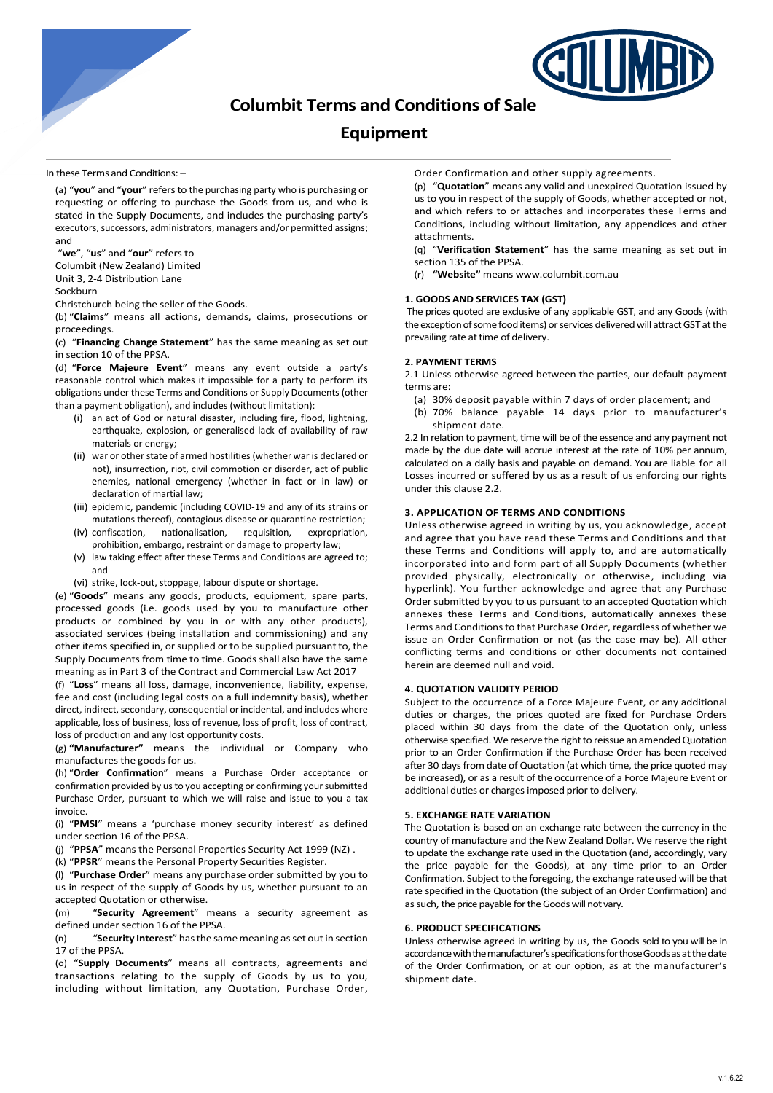

# **Columbit Terms and Conditions of Sale**

## **Equipment**

In these Terms and Conditions: –

(a) "**you**" and "**your**" refersto the purchasing party who is purchasing or requesting or offering to purchase the Goods from us, and who is stated in the Supply Documents, and includes the purchasing party's executors, successors, administrators, managers and/or permitted assigns; and

"**we**", "**us**" and "**our**" refers to

Columbit (New Zealand) Limited

Unit 3, 2-4 Distribution Lane

Sockburn

Christchurch being the seller of the Goods.

(b) "**Claims**" means all actions, demands, claims, prosecutions or proceedings.

(c) "**Financing Change Statement**" has the same meaning as set out in section 10 of the PPSA.

(d) "**Force Majeure Event**" means any event outside a party's reasonable control which makes it impossible for a party to perform its obligations under these Terms and Conditions or Supply Documents (other than a payment obligation), and includes (without limitation):

- (i) an act of God or natural disaster, including fire, flood, lightning, earthquake, explosion, or generalised lack of availability of raw materials or energy;
- (ii) war or other state of armed hostilities (whether war is declared or not), insurrection, riot, civil commotion or disorder, act of public enemies, national emergency (whether in fact or in law) or declaration of martial law;
- (iii) epidemic, pandemic (including COVID-19 and any of its strains or mutations thereof), contagious disease or quarantine restriction;
- (iv) confiscation, nationalisation, requisition, expropriation, prohibition, embargo, restraint or damage to property law;
- (v) law taking effect after these Terms and Conditions are agreed to; and
- (vi) strike, lock-out, stoppage, labour dispute or shortage.

(e) "**Goods**" means any goods, products, equipment, spare parts, processed goods (i.e. goods used by you to manufacture other products or combined by you in or with any other products), associated services (being installation and commissioning) and any other items specified in, or supplied or to be supplied pursuant to, the Supply Documents from time to time. Goods shall also have the same meaning as in Part 3 of the Contract and Commercial Law Act 2017

(f) "**Loss**" means all loss, damage, inconvenience, liability, expense, fee and cost (including legal costs on a full indemnity basis), whether direct, indirect, secondary, consequential or incidental, and includes where applicable, loss of business, loss of revenue, loss of profit, loss of contract, loss of production and any lost opportunity costs.

(g) **"Manufacturer"** means the individual or Company who manufactures the goods for us.

(h) "**Order Confirmation**" means a Purchase Order acceptance or confirmation provided by us to you accepting or confirming your submitted Purchase Order, pursuant to which we will raise and issue to you a tax invoice.

(i) "**PMSI**" means a 'purchase money security interest' as defined under section 16 of the PPSA.

(j) "**PPSA**" means the Personal Properties Security Act 1999 (NZ) .

(k) "**PPSR**" means the Personal Property Securities Register.

(l) "**Purchase Order**" means any purchase order submitted by you to us in respect of the supply of Goods by us, whether pursuant to an accepted Quotation or otherwise.

(m) "**Security Agreement**" means a security agreement as defined under section 16 of the PPSA.

(n) "**Security Interest**" has the same meaning as set out in section 17 of the PPSA.

(o) "**Supply Documents**" means all contracts, agreements and transactions relating to the supply of Goods by us to you, including without limitation, any Quotation, Purchase Order,

Order Confirmation and other supply agreements.

(p) "**Quotation**" means any valid and unexpired Quotation issued by us to you in respect of the supply of Goods, whether accepted or not, and which refers to or attaches and incorporates these Terms and Conditions, including without limitation, any appendices and other attachments.

(q) "**Verification Statement**" has the same meaning as set out in section 135 of the PPSA.

(r) **"Website"** means www.columbit.com.au

## **1. GOODS AND SERVICES TAX (GST)**

The prices quoted are exclusive of any applicable GST, and any Goods (with the exception of some food items) or services delivered will attract GST at the prevailing rate at time of delivery.

## **2. PAYMENT TERMS**

2.1 Unless otherwise agreed between the parties, our default payment terms are:

- (a) 30% deposit payable within 7 days of order placement; and
- (b) 70% balance payable 14 days prior to manufacturer's shipment date.

2.2 In relation to payment, time will be of the essence and any payment not made by the due date will accrue interest at the rate of 10% per annum, calculated on a daily basis and payable on demand. You are liable for all Losses incurred or suffered by us as a result of us enforcing our rights under this clause 2.2.

#### **3. APPLICATION OF TERMS AND CONDITIONS**

Unless otherwise agreed in writing by us, you acknowledge, accept and agree that you have read these Terms and Conditions and that these Terms and Conditions will apply to, and are automatically incorporated into and form part of all Supply Documents (whether provided physically, electronically or otherwise, including via hyperlink). You further acknowledge and agree that any Purchase Order submitted by you to us pursuant to an accepted Quotation which annexes these Terms and Conditions, automatically annexes these Terms and Conditions to that Purchase Order, regardless of whether we issue an Order Confirmation or not (as the case may be). All other conflicting terms and conditions or other documents not contained herein are deemed null and void.

## **4. QUOTATION VALIDITY PERIOD**

Subject to the occurrence of a Force Majeure Event, or any additional duties or charges, the prices quoted are fixed for Purchase Orders placed within 30 days from the date of the Quotation only, unless otherwise specified.We reserve the right to reissue an amended Quotation prior to an Order Confirmation if the Purchase Order has been received after 30 days from date of Quotation (at which time, the price quoted may be increased), or as a result of the occurrence of a Force Majeure Event or additional duties or charges imposed prior to delivery.

#### **5. EXCHANGE RATE VARIATION**

The Quotation is based on an exchange rate between the currency in the country of manufacture and the New Zealand Dollar. We reserve the right to update the exchange rate used in the Quotation (and, accordingly, vary the price payable for the Goods), at any time prior to an Order Confirmation. Subject to the foregoing, the exchange rate used will be that rate specified in the Quotation (the subject of an Order Confirmation) and as such, the price payable for the Goodswill not vary.

## **6. PRODUCT SPECIFICATIONS**

Unless otherwise agreed in writing by us, the Goods sold to you will be in accordance with the manufacturer's specifications for those Goods as at the date of the Order Confirmation, or at our option, as at the manufacturer's shipment date.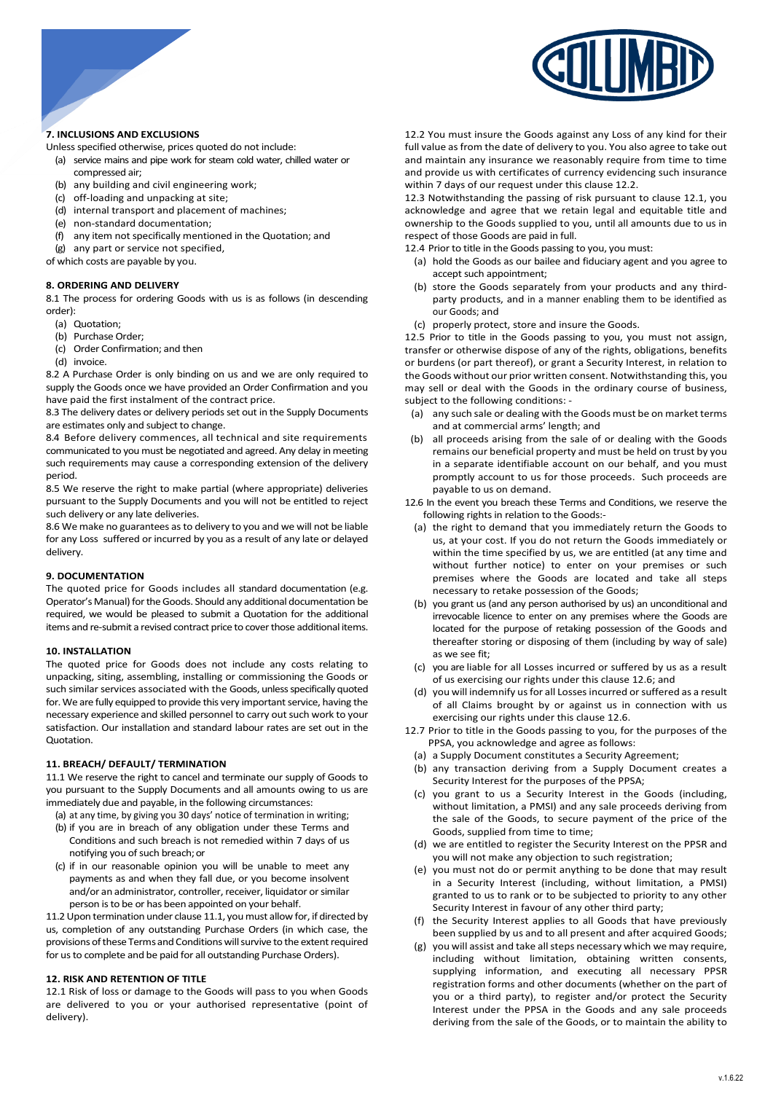

## **7. INCLUSIONS AND EXCLUSIONS**

Unless specified otherwise, prices quoted do not include:

- (a) service mains and pipe work for steam cold water, chilled water or compressed air;
- (b) any building and civil engineering work;
- (c) off-loading and unpacking at site;
- (d) internal transport and placement of machines;
- (e) non-standard documentation;
- (f) any item not specifically mentioned in the Quotation; and
- (g) any part or service not specified,

of which costs are payable by you.

## **8. ORDERING AND DELIVERY**

8.1 The process for ordering Goods with us is as follows (in descending order):

- (a) Quotation;
- (b) Purchase Order;
- (c) Order Confirmation; and then
- (d) invoice.

8.2 A Purchase Order is only binding on us and we are only required to supply the Goods once we have provided an Order Confirmation and you have paid the first instalment of the contract price.

8.3 The delivery dates or delivery periods set out in the Supply Documents are estimates only and subject to change.

8.4 Before delivery commences, all technical and site requirements communicated to you must be negotiated and agreed. Any delay in meeting such requirements may cause a corresponding extension of the delivery period.

8.5 We reserve the right to make partial (where appropriate) deliveries pursuant to the Supply Documents and you will not be entitled to reject such delivery or any late deliveries.

8.6 We make no guarantees as to delivery to you and we will not be liable for any Loss suffered or incurred by you as a result of any late or delayed delivery.

## **9. DOCUMENTATION**

The quoted price for Goods includes all standard documentation (e.g. Operator's Manual) for the Goods. Should any additional documentation be required, we would be pleased to submit a Quotation for the additional items and re-submit a revised contract price to cover those additional items.

## **10. INSTALLATION**

The quoted price for Goods does not include any costs relating to unpacking, siting, assembling, installing or commissioning the Goods or such similar services associated with the Goods, unless specifically quoted for. We are fully equipped to provide this very important service, having the necessary experience and skilled personnel to carry out such work to your satisfaction. Our installation and standard labour rates are set out in the Quotation.

## **11. BREACH/ DEFAULT/ TERMINATION**

11.1 We reserve the right to cancel and terminate our supply of Goods to you pursuant to the Supply Documents and all amounts owing to us are immediately due and payable, in the following circumstances:

(a) at any time, by giving you 30 days' notice of termination in writing;

- (b) if you are in breach of any obligation under these Terms and Conditions and such breach is not remedied within 7 days of us notifying you of such breach; or
- (c) if in our reasonable opinion you will be unable to meet any payments as and when they fall due, or you become insolvent and/or an administrator, controller, receiver, liquidator or similar person is to be or has been appointed on your behalf.

11.2 Upon termination under clause 11.1, you must allow for, if directed by us, completion of any outstanding Purchase Orders (in which case, the provisions of these Terms and Conditions will survive to the extent required for us to complete and be paid for all outstanding Purchase Orders).

#### **12. RISK AND RETENTION OF TITLE**

12.1 Risk of loss or damage to the Goods will pass to you when Goods are delivered to you or your authorised representative (point of delivery).

12.2 You must insure the Goods against any Loss of any kind for their full value as from the date of delivery to you. You also agree to take out and maintain any insurance we reasonably require from time to time and provide us with certificates of currency evidencing such insurance within 7 days of our request under this clause 12.2.

12.3 Notwithstanding the passing of risk pursuant to clause 12.1, you acknowledge and agree that we retain legal and equitable title and ownership to the Goods supplied to you, until all amounts due to us in respect of those Goods are paid in full.

12.4 Prior to title in the Goods passing to you, you must:

- (a) hold the Goods as our bailee and fiduciary agent and you agree to accept such appointment;
- (b) store the Goods separately from your products and any thirdparty products, and in a manner enabling them to be identified as our Goods; and
- (c) properly protect, store and insure the Goods.

12.5 Prior to title in the Goods passing to you, you must not assign, transfer or otherwise dispose of any of the rights, obligations, benefits or burdens (or part thereof), or grant a Security Interest, in relation to the Goods without our prior written consent. Notwithstanding this, you may sell or deal with the Goods in the ordinary course of business, subject to the following conditions: -

- (a) any such sale or dealing with the Goods must be on market terms and at commercial arms' length; and
- (b) all proceeds arising from the sale of or dealing with the Goods remains our beneficial property and must be held on trust by you in a separate identifiable account on our behalf, and you must promptly account to us for those proceeds. Such proceeds are payable to us on demand.
- 12.6 In the event you breach these Terms and Conditions, we reserve the following rights in relation to the Goods:-
	- (a) the right to demand that you immediately return the Goods to us, at your cost. If you do not return the Goods immediately or within the time specified by us, we are entitled (at any time and without further notice) to enter on your premises or such premises where the Goods are located and take all steps necessary to retake possession of the Goods;
	- (b) you grant us (and any person authorised by us) an unconditional and irrevocable licence to enter on any premises where the Goods are located for the purpose of retaking possession of the Goods and thereafter storing or disposing of them (including by way of sale) as we see fit;
	- (c) you are liable for all Losses incurred or suffered by us as a result of us exercising our rights under this clause 12.6; and
- (d) you will indemnify us for all Lossesincurred or suffered as a result of all Claims brought by or against us in connection with us exercising our rights under this clause 12.6.
- 12.7 Prior to title in the Goods passing to you, for the purposes of the PPSA, you acknowledge and agree as follows:
	- (a) a Supply Document constitutes a Security Agreement;
	- (b) any transaction deriving from a Supply Document creates a Security Interest for the purposes of the PPSA;
	- (c) you grant to us a Security Interest in the Goods (including, without limitation, a PMSI) and any sale proceeds deriving from the sale of the Goods, to secure payment of the price of the Goods, supplied from time to time;
	- (d) we are entitled to register the Security Interest on the PPSR and you will not make any objection to such registration;
	- (e) you must not do or permit anything to be done that may result in a Security Interest (including, without limitation, a PMSI) granted to us to rank or to be subjected to priority to any other Security Interest in favour of any other third party;
	- (f) the Security Interest applies to all Goods that have previously been supplied by us and to all present and after acquired Goods:
	- (g) you will assist and take all steps necessary which we may require, including without limitation, obtaining written consents, supplying information, and executing all necessary PPSR registration forms and other documents (whether on the part of you or a third party), to register and/or protect the Security Interest under the PPSA in the Goods and any sale proceeds deriving from the sale of the Goods, or to maintain the ability to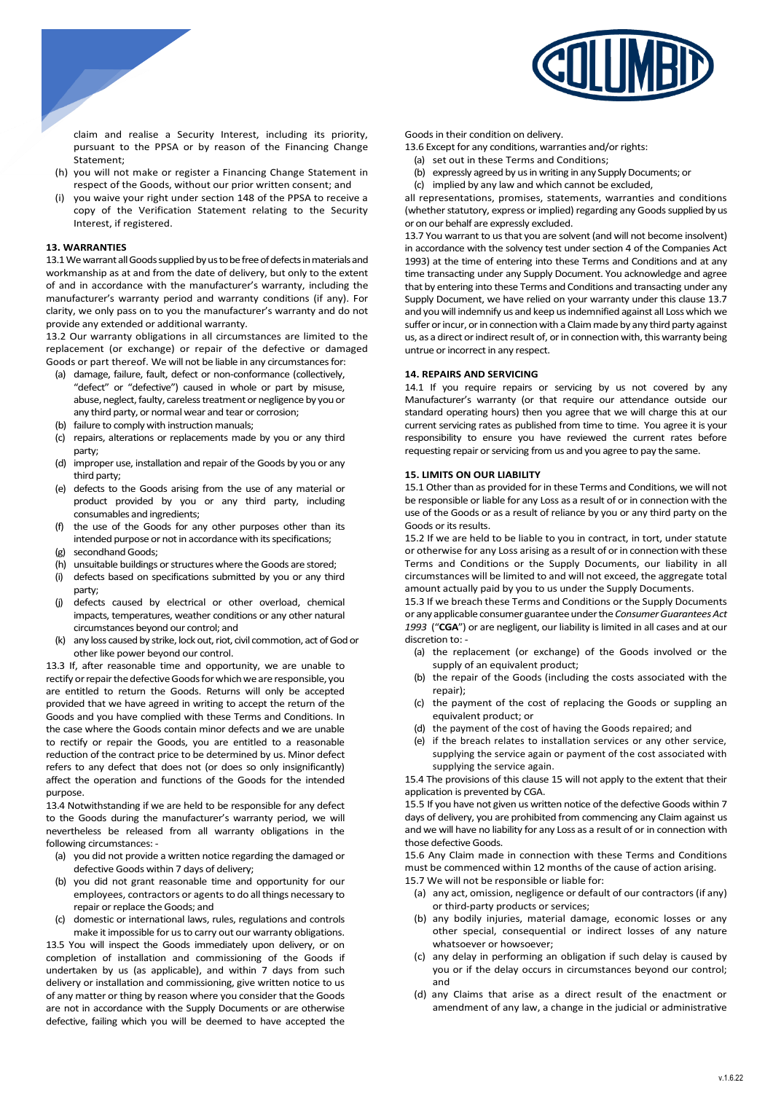

claim and realise a Security Interest, including its priority, pursuant to the PPSA or by reason of the Financing Change Statement;

- (h) you will not make or register a Financing Change Statement in respect of the Goods, without our prior written consent; and
- (i) you waive your right under section 148 of the PPSA to receive a copy of the Verification Statement relating to the Security Interest, if registered.

## **13. WARRANTIES**

13.1 We warrant all Goods supplied by us to be free of defects in materials and workmanship as at and from the date of delivery, but only to the extent of and in accordance with the manufacturer's warranty, including the manufacturer's warranty period and warranty conditions (if any). For clarity, we only pass on to you the manufacturer's warranty and do not provide any extended or additional warranty.

13.2 Our warranty obligations in all circumstances are limited to the replacement (or exchange) or repair of the defective or damaged Goods or part thereof. We will not be liable in any circumstances for:

- (a) damage, failure, fault, defect or non-conformance (collectively, "defect" or "defective") caused in whole or part by misuse, abuse, neglect, faulty, careless treatment or negligence by you or any third party, or normal wear and tear or corrosion;
- (b) failure to comply with instruction manuals;
- (c) repairs, alterations or replacements made by you or any third party;
- (d) improper use, installation and repair of the Goods by you or any third party;
- (e) defects to the Goods arising from the use of any material or product provided by you or any third party, including consumables and ingredients;
- (f) the use of the Goods for any other purposes other than its intended purpose or not in accordance with its specifications;
- (g) secondhand Goods;
- (h) unsuitable buildings or structures where the Goods are stored;
- (i) defects based on specifications submitted by you or any third party;
- (j) defects caused by electrical or other overload, chemical impacts, temperatures, weather conditions or any other natural circumstances beyond our control; and
- (k) any loss caused by strike, lock out, riot, civil commotion, act of God or other like power beyond our control.

13.3 If, after reasonable time and opportunity, we are unable to rectify or repair the defective Goods for which we are responsible, you are entitled to return the Goods. Returns will only be accepted provided that we have agreed in writing to accept the return of the Goods and you have complied with these Terms and Conditions. In the case where the Goods contain minor defects and we are unable to rectify or repair the Goods, you are entitled to a reasonable reduction of the contract price to be determined by us. Minor defect refers to any defect that does not (or does so only insignificantly) affect the operation and functions of the Goods for the intended purpose.

13.4 Notwithstanding if we are held to be responsible for any defect to the Goods during the manufacturer's warranty period, we will nevertheless be released from all warranty obligations in the following circumstances: -

- (a) you did not provide a written notice regarding the damaged or defective Goods within 7 days of delivery;
- (b) you did not grant reasonable time and opportunity for our employees, contractors or agents to do all things necessary to repair or replace the Goods; and
- (c) domestic or international laws, rules, regulations and controls make it impossible for us to carry out our warranty obligations.

13.5 You will inspect the Goods immediately upon delivery, or on completion of installation and commissioning of the Goods if undertaken by us (as applicable), and within 7 days from such delivery or installation and commissioning, give written notice to us of any matter or thing by reason where you consider that the Goods are not in accordance with the Supply Documents or are otherwise defective, failing which you will be deemed to have accepted the

Goods in their condition on delivery.

- 13.6 Except for any conditions, warranties and/or rights:
	- (a) set out in these Terms and Conditions;
	- (b) expressly agreed by us in writing in any Supply Documents; or
	- (c) implied by any law and which cannot be excluded,

all representations, promises, statements, warranties and conditions (whether statutory, express or implied) regarding any Goods supplied by us or on our behalf are expressly excluded.

13.7 You warrant to us that you are solvent (and will not become insolvent) in accordance with the solvency test under section 4 of the Companies Act 1993) at the time of entering into these Terms and Conditions and at any time transacting under any Supply Document. You acknowledge and agree that by entering into these Terms and Conditions and transacting under any Supply Document, we have relied on your warranty under this clause 13.7 and you will indemnify us and keep us indemnified against all Loss which we suffer or incur, or in connection with a Claim made by any third party against us, as a direct or indirect result of, or in connection with, this warranty being untrue or incorrect in any respect.

## **14. REPAIRS AND SERVICING**

14.1 If you require repairs or servicing by us not covered by any Manufacturer's warranty (or that require our attendance outside our standard operating hours) then you agree that we will charge this at our current servicing rates as published from time to time. You agree it is your responsibility to ensure you have reviewed the current rates before requesting repair or servicing from us and you agree to pay the same.

## **15. LIMITS ON OUR LIABILITY**

15.1 Other than as provided for in these Terms and Conditions, we will not be responsible or liable for any Loss as a result of or in connection with the use of the Goods or as a result of reliance by you or any third party on the Goods or its results.

15.2 If we are held to be liable to you in contract, in tort, under statute or otherwise for any Loss arising as a result of or in connection with these Terms and Conditions or the Supply Documents, our liability in all circumstances will be limited to and will not exceed, the aggregate total amount actually paid by you to us under the Supply Documents.

15.3 If we breach these Terms and Conditions or the Supply Documents or any applicable consumer guarantee under the *Consumer Guarantees Act 1993* ("**CGA**") or are negligent, our liability is limited in all cases and at our discretion to: -

- (a) the replacement (or exchange) of the Goods involved or the supply of an equivalent product;
- (b) the repair of the Goods (including the costs associated with the repair);
- (c) the payment of the cost of replacing the Goods or suppling an equivalent product; or
- (d) the payment of the cost of having the Goods repaired; and
- (e) if the breach relates to installation services or any other service, supplying the service again or payment of the cost associated with supplying the service again.

15.4 The provisions of this clause 15 will not apply to the extent that their application is prevented by CGA.

15.5 If you have not given us written notice of the defective Goods within 7 days of delivery, you are prohibited from commencing any Claim against us and we will have no liability for any Loss as a result of or in connection with those defective Goods.

15.6 Any Claim made in connection with these Terms and Conditions must be commenced within 12 months of the cause of action arising.

- 15.7 We will not be responsible or liable for:
	- (a) any act, omission, negligence or default of our contractors (if any) or third-party products or services;
	- (b) any bodily injuries, material damage, economic losses or any other special, consequential or indirect losses of any nature whatsoever or howsoever;
	- (c) any delay in performing an obligation if such delay is caused by you or if the delay occurs in circumstances beyond our control; and
	- (d) any Claims that arise as a direct result of the enactment or amendment of any law, a change in the judicial or administrative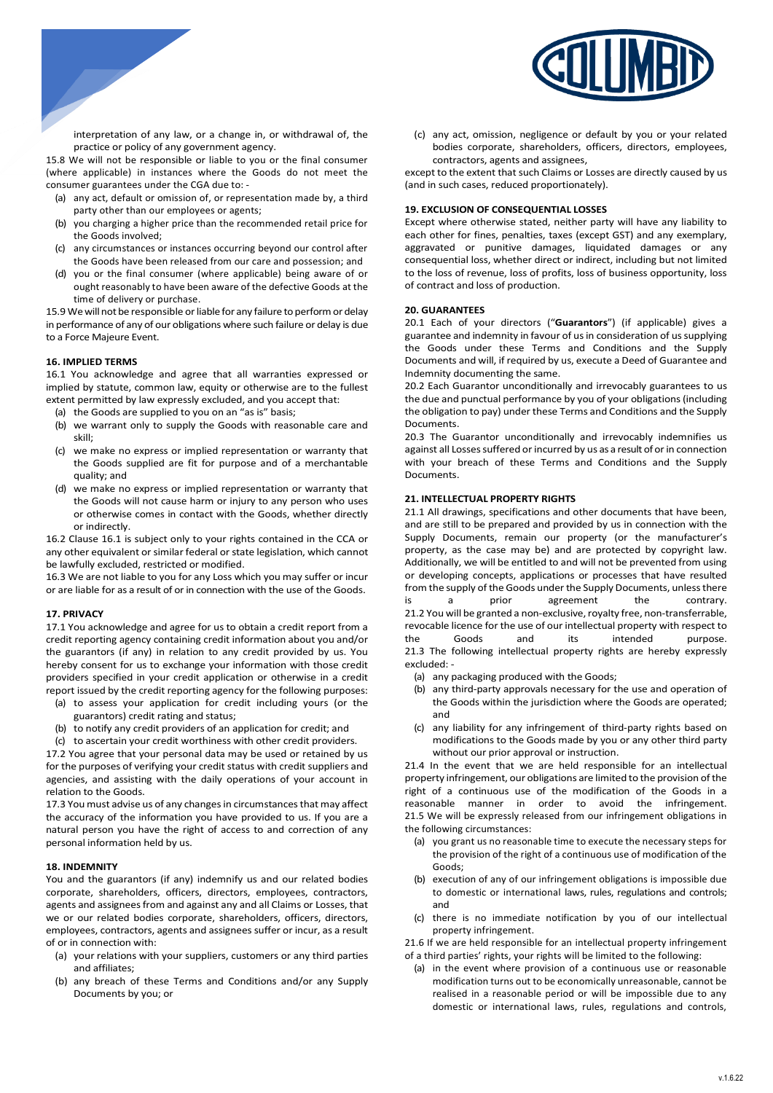

interpretation of any law, or a change in, or withdrawal of, the practice or policy of any government agency.

15.8 We will not be responsible or liable to you or the final consumer (where applicable) in instances where the Goods do not meet the consumer guarantees under the CGA due to: -

- (a) any act, default or omission of, or representation made by, a third party other than our employees or agents;
- (b) you charging a higher price than the recommended retail price for the Goods involved;
- (c) any circumstances or instances occurring beyond our control after the Goods have been released from our care and possession; and
- (d) you or the final consumer (where applicable) being aware of or ought reasonably to have been aware of the defective Goods at the time of delivery or purchase.

15.9 We will not be responsible or liable for any failure to perform or delay in performance of any of our obligations where such failure or delay is due to a Force Majeure Event.

## **16. IMPLIED TERMS**

16.1 You acknowledge and agree that all warranties expressed or implied by statute, common law, equity or otherwise are to the fullest extent permitted by law expressly excluded, and you accept that:

- (a) the Goods are supplied to you on an "as is" basis;
- (b) we warrant only to supply the Goods with reasonable care and skill;
- (c) we make no express or implied representation or warranty that the Goods supplied are fit for purpose and of a merchantable quality; and
- (d) we make no express or implied representation or warranty that the Goods will not cause harm or injury to any person who uses or otherwise comes in contact with the Goods, whether directly or indirectly.

16.2 Clause 16.1 is subject only to your rights contained in the CCA or any other equivalent or similar federal or state legislation, which cannot be lawfully excluded, restricted or modified.

16.3 We are not liable to you for any Loss which you may suffer or incur or are liable for as a result of or in connection with the use of the Goods.

## **17. PRIVACY**

17.1 You acknowledge and agree for us to obtain a credit report from a credit reporting agency containing credit information about you and/or the guarantors (if any) in relation to any credit provided by us. You hereby consent for us to exchange your information with those credit providers specified in your credit application or otherwise in a credit report issued by the credit reporting agency for the following purposes:

- (a) to assess your application for credit including yours (or the guarantors) credit rating and status;
- (b) to notify any credit providers of an application for credit; and

(c) to ascertain your credit worthiness with other credit providers.

17.2 You agree that your personal data may be used or retained by us for the purposes of verifying your credit status with credit suppliers and agencies, and assisting with the daily operations of your account in relation to the Goods.

17.3 You must advise us of any changes in circumstances that may affect the accuracy of the information you have provided to us. If you are a natural person you have the right of access to and correction of any personal information held by us.

#### **18. INDEMNITY**

You and the guarantors (if any) indemnify us and our related bodies corporate, shareholders, officers, directors, employees, contractors, agents and assignees from and against any and all Claims or Losses, that we or our related bodies corporate, shareholders, officers, directors, employees, contractors, agents and assignees suffer or incur, as a result of or in connection with:

- (a) your relations with your suppliers, customers or any third parties and affiliates;
- (b) any breach of these Terms and Conditions and/or any Supply Documents by you; or

(c) any act, omission, negligence or default by you or your related bodies corporate, shareholders, officers, directors, employees, contractors, agents and assignees,

except to the extent that such Claims or Losses are directly caused by us (and in such cases, reduced proportionately).

#### **19. EXCLUSION OF CONSEQUENTIAL LOSSES**

Except where otherwise stated, neither party will have any liability to each other for fines, penalties, taxes (except GST) and any exemplary, aggravated or punitive damages, liquidated damages or any consequential loss, whether direct or indirect, including but not limited to the loss of revenue, loss of profits, loss of business opportunity, loss of contract and loss of production.

#### **20. GUARANTEES**

20.1 Each of your directors ("**Guarantors**") (if applicable) gives a guarantee and indemnity in favour of us in consideration of us supplying the Goods under these Terms and Conditions and the Supply Documents and will, if required by us, execute a Deed of Guarantee and Indemnity documenting the same.

20.2 Each Guarantor unconditionally and irrevocably guarantees to us the due and punctual performance by you of your obligations (including the obligation to pay) under these Terms and Conditions and the Supply **Documents** 

20.3 The Guarantor unconditionally and irrevocably indemnifies us against all Losses suffered or incurred by us as a result of orin connection with your breach of these Terms and Conditions and the Supply Documents.

## **21. INTELLECTUAL PROPERTY RIGHTS**

21.1 All drawings, specifications and other documents that have been, and are still to be prepared and provided by us in connection with the Supply Documents, remain our property (or the manufacturer's property, as the case may be) and are protected by copyright law. Additionally, we will be entitled to and will not be prevented from using or developing concepts, applications or processes that have resulted from the supply of the Goods under the Supply Documents, unless there is a prior agreement the contrary. 21.2 You will be granted a non-exclusive, royalty free, non-transferrable, revocable licence for the use of our intellectual property with respect to the Goods and its intended purpose. 21.3 The following intellectual property rights are hereby expressly excluded: -

- (a) any packaging produced with the Goods;
- (b) any third-party approvals necessary for the use and operation of the Goods within the jurisdiction where the Goods are operated; and
- (c) any liability for any infringement of third-party rights based on modifications to the Goods made by you or any other third party without our prior approval or instruction.

21.4 In the event that we are held responsible for an intellectual property infringement, our obligations are limited to the provision of the right of a continuous use of the modification of the Goods in a reasonable manner in order to avoid the infringement. 21.5 We will be expressly released from our infringement obligations in the following circumstances:

- (a) you grant us no reasonable time to execute the necessary steps for the provision of the right of a continuous use of modification of the Goods;
- (b) execution of any of our infringement obligations is impossible due to domestic or international laws, rules, regulations and controls; and
- (c) there is no immediate notification by you of our intellectual property infringement.

21.6 If we are held responsible for an intellectual property infringement of a third parties' rights, your rights will be limited to the following:

(a) in the event where provision of a continuous use or reasonable modification turns out to be economically unreasonable, cannot be realised in a reasonable period or will be impossible due to any domestic or international laws, rules, regulations and controls,